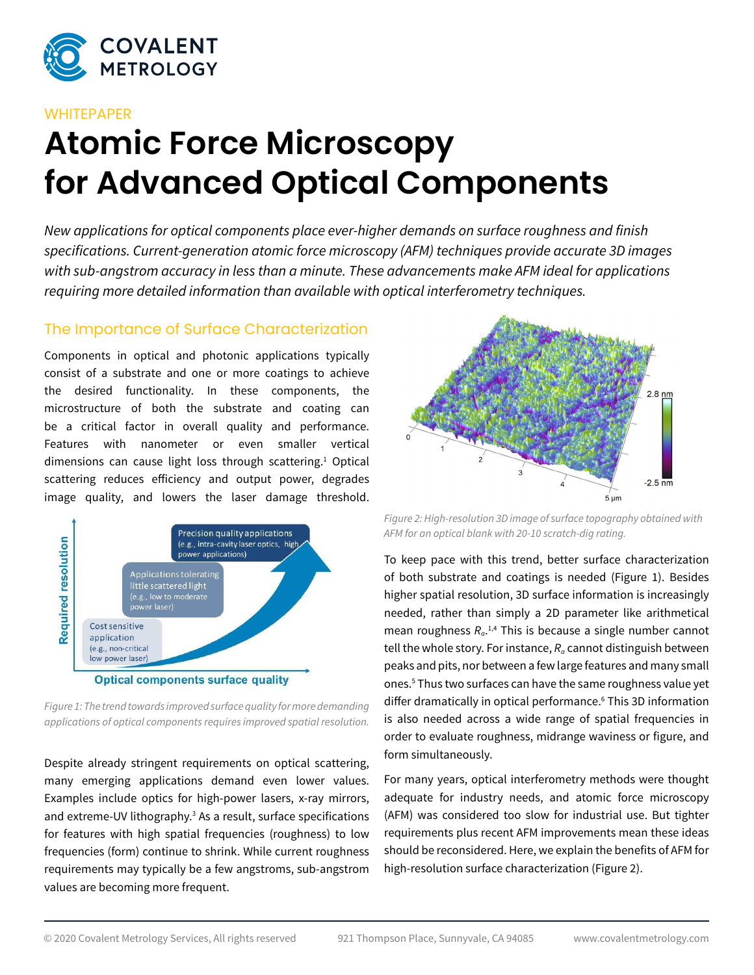

#### **WHITEPAPER**

# **Atomic Force Microscopy for Advanced Optical Components**

*New applications for optical components place ever-higher demands on surface roughness and finish specifications. Current-generation atomic force microscopy (AFM) techniques provide accurate 3D images with sub-angstrom accuracy in less than a minute. These advancements make AFM ideal for applications requiring more detailed information than available with optical interferometry techniques.*

#### The Importance of Surface Characterization

Components in optical and photonic applications typically consist of a substrate and one or more coatings to achieve the desired functionality. In these components, the microstructure of both the substrate and coating can be a critical factor in overall quality and performance. Features with nanometer or even smaller vertical dimensions can cause light loss through scattering.<sup>1</sup> Optical scattering reduces efficiency and output power, degrades image quality, and lowers the laser damage threshold.



*Figure 1: The trend towards improved surface quality for more demanding applications of optical components requires improved spatial resolution.*

Despite already stringent requirements on optical scattering, many emerging applications demand even lower values. Examples include optics for high-power lasers, x-ray mirrors, and extreme-UV lithography.<sup>3</sup> As a result, surface specifications for features with high spatial frequencies (roughness) to low frequencies (form) continue to shrink. While current roughness requirements may typically be a few angstroms, sub-angstrom values are becoming more frequent.



*Figure 2: High-resolution 3D image of surface topography obtained with AFM for an optical blank with 20-10 scratch-dig rating.*

To keep pace with this trend, better surface characterization of both substrate and coatings is needed (Figure 1). Besides higher spatial resolution, 3D surface information is increasingly needed, rather than simply a 2D parameter like arithmetical mean roughness *Ra*. 1,4 This is because a single number cannot tell the whole story. For instance,  $R_a$  cannot distinguish between peaks and pits, nor between a few large features and many small ones.5 Thus two surfaces can have the same roughness value yet differ dramatically in optical performance.6 This 3D information is also needed across a wide range of spatial frequencies in order to evaluate roughness, midrange waviness or figure, and form simultaneously.

For many years, optical interferometry methods were thought adequate for industry needs, and atomic force microscopy (AFM) was considered too slow for industrial use. But tighter requirements plus recent AFM improvements mean these ideas should be reconsidered. Here, we explain the benefits of AFM for high-resolution surface characterization (Figure 2).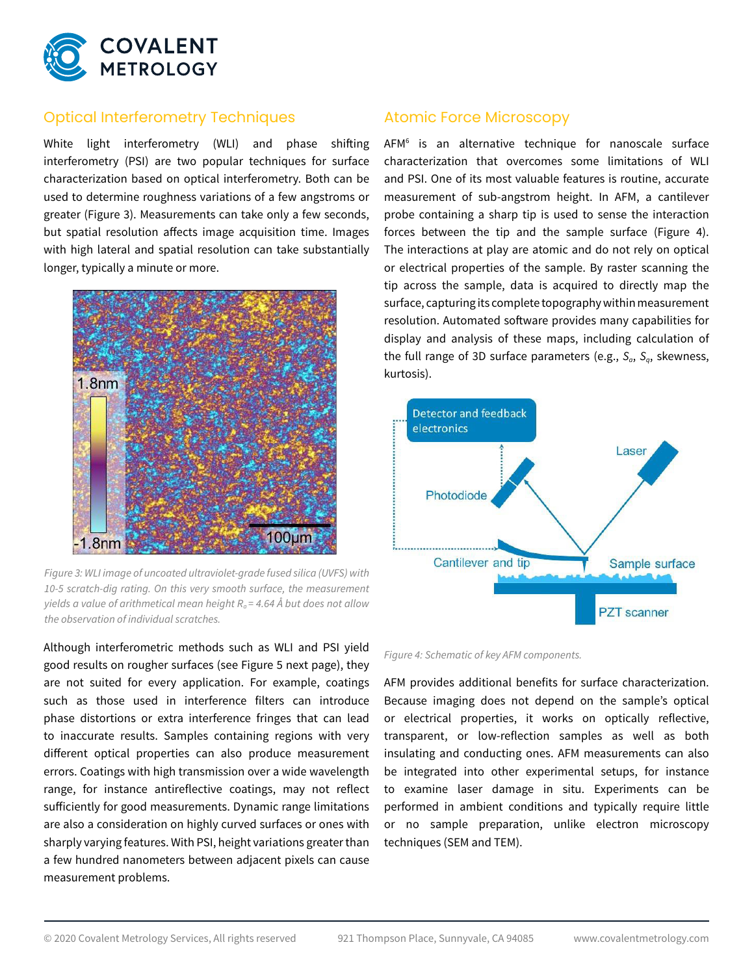

# Optical Interferometry Techniques

White light interferometry (WLI) and phase shifting interferometry (PSI) are two popular techniques for surface characterization based on optical interferometry. Both can be used to determine roughness variations of a few angstroms or greater (Figure 3). Measurements can take only a few seconds, but spatial resolution affects image acquisition time. Images with high lateral and spatial resolution can take substantially longer, typically a minute or more.



*Figure 3: WLI image of uncoated ultraviolet-grade fused silica (UVFS) with 10-5 scratch-dig rating. On this very smooth surface, the measurement yields a value of arithmetical mean height*  $R<sub>a</sub> = 4.64$  *Å but does not allow the observation of individual scratches.*

Although interferometric methods such as WLI and PSI yield good results on rougher surfaces (see Figure 5 next page), they are not suited for every application. For example, coatings such as those used in interference filters can introduce phase distortions or extra interference fringes that can lead to inaccurate results. Samples containing regions with very different optical properties can also produce measurement errors. Coatings with high transmission over a wide wavelength range, for instance antireflective coatings, may not reflect sufficiently for good measurements. Dynamic range limitations are also a consideration on highly curved surfaces or ones with sharply varying features. With PSI, height variations greater than a few hundred nanometers between adjacent pixels can cause measurement problems.

## Atomic Force Microscopy

AFM6 is an alternative technique for nanoscale surface characterization that overcomes some limitations of WLI and PSI. One of its most valuable features is routine, accurate measurement of sub-angstrom height. In AFM, a cantilever probe containing a sharp tip is used to sense the interaction forces between the tip and the sample surface (Figure 4). The interactions at play are atomic and do not rely on optical or electrical properties of the sample. By raster scanning the tip across the sample, data is acquired to directly map the surface, capturing its complete topography within measurement resolution. Automated software provides many capabilities for display and analysis of these maps, including calculation of the full range of 3D surface parameters (e.g., *Sa*, *Sq*, skewness, kurtosis).



*Figure 4: Schematic of key AFM components.*

AFM provides additional benefits for surface characterization. Because imaging does not depend on the sample's optical or electrical properties, it works on optically reflective, transparent, or low-reflection samples as well as both insulating and conducting ones. AFM measurements can also be integrated into other experimental setups, for instance to examine laser damage in situ. Experiments can be performed in ambient conditions and typically require little or no sample preparation, unlike electron microscopy techniques (SEM and TEM).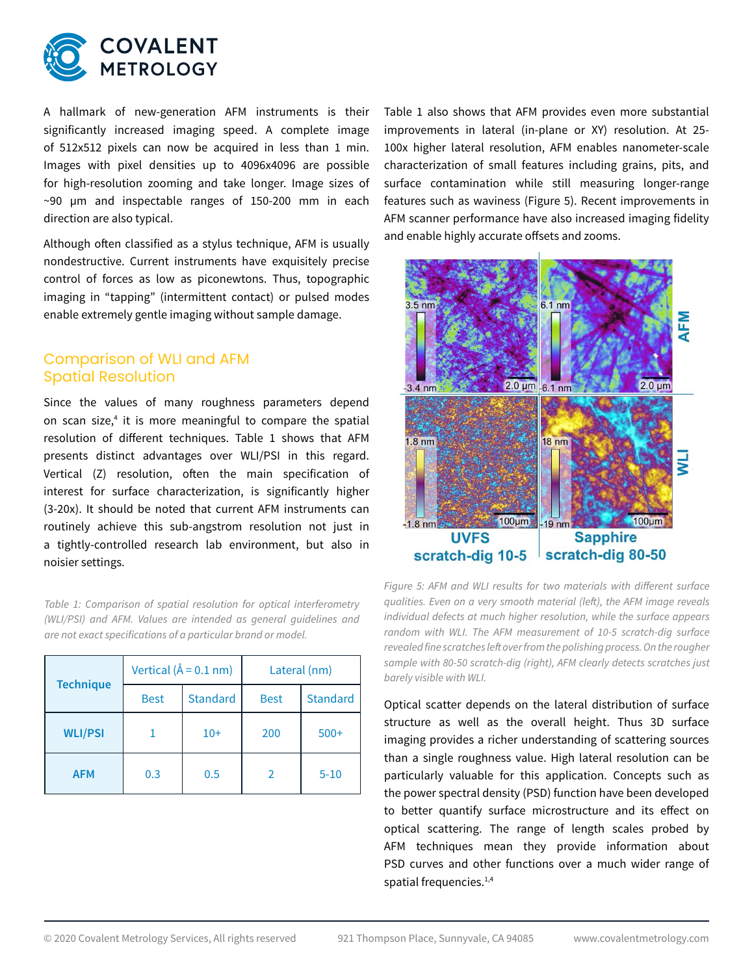

A hallmark of new-generation AFM instruments is their significantly increased imaging speed. A complete image of 512x512 pixels can now be acquired in less than 1 min. Images with pixel densities up to 4096x4096 are possible for high-resolution zooming and take longer. Image sizes of ~90 µm and inspectable ranges of 150-200 mm in each direction are also typical.

Although often classified as a stylus technique, AFM is usually nondestructive. Current instruments have exquisitely precise control of forces as low as piconewtons. Thus, topographic imaging in "tapping" (intermittent contact) or pulsed modes enable extremely gentle imaging without sample damage.

### Comparison of WLI and AFM Spatial Resolution

Since the values of many roughness parameters depend on scan size,<sup>4</sup> it is more meaningful to compare the spatial resolution of different techniques. Table 1 shows that AFM presents distinct advantages over WLI/PSI in this regard. Vertical (Z) resolution, often the main specification of interest for surface characterization, is significantly higher (3-20x). It should be noted that current AFM instruments can routinely achieve this sub-angstrom resolution not just in a tightly-controlled research lab environment, but also in noisier settings.

*Table 1: Comparison of spatial resolution for optical interferometry (WLI/PSI) and AFM. Values are intended as general guidelines and are not exact specifications of a particular brand or model.*

| <b>Technique</b> | Vertical ( $\hat{A} = 0.1$ nm) |                 | Lateral (nm)  |                 |
|------------------|--------------------------------|-----------------|---------------|-----------------|
|                  | <b>Best</b>                    | <b>Standard</b> | <b>Best</b>   | <b>Standard</b> |
| <b>WLI/PSI</b>   |                                | $10+$           | 200           | $500+$          |
| <b>AFM</b>       | 0.3                            | 0.5             | $\mathcal{P}$ | $5 - 10$        |

Table 1 also shows that AFM provides even more substantial improvements in lateral (in-plane or XY) resolution. At 25- 100x higher lateral resolution, AFM enables nanometer-scale characterization of small features including grains, pits, and surface contamination while still measuring longer-range features such as waviness (Figure 5). Recent improvements in AFM scanner performance have also increased imaging fidelity and enable highly accurate offsets and zooms.



*Figure 5: AFM and WLI results for two materials with different surface qualities. Even on a very smooth material (left), the AFM image reveals individual defects at much higher resolution, while the surface appears random with WLI. The AFM measurement of 10-5 scratch-dig surface revealed fine scratches left over from the polishing process. On the rougher sample with 80-50 scratch-dig (right), AFM clearly detects scratches just*  **barely visible with WLI.** 

Optical scatter depends on the lateral distribution of surface structure as well as the overall height. Thus 3D surface imaging provides a richer understanding of scattering sources than a single roughness value. High lateral resolution can be particularly valuable for this application. Concepts such as the power spectral density (PSD) function have been developed to better quantify surface microstructure and its effect on optical scattering. The range of length scales probed by AFM techniques mean they provide information about PSD curves and other functions over a much wider range of spatial frequencies.<sup>1,4</sup>